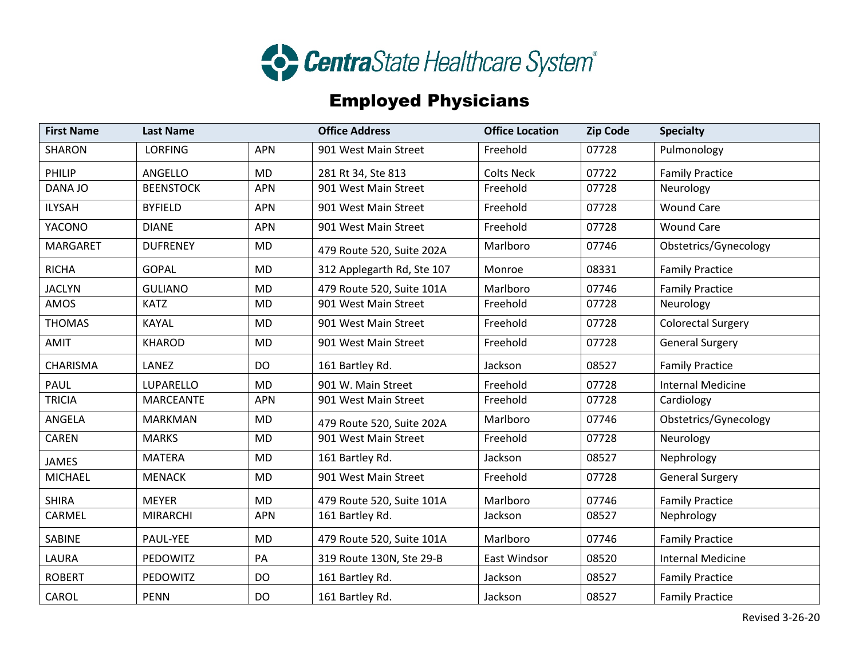

## Employed Physicians

| <b>First Name</b> | <b>Last Name</b> |            | <b>Office Address</b>      | <b>Office Location</b> | <b>Zip Code</b> | <b>Specialty</b>          |
|-------------------|------------------|------------|----------------------------|------------------------|-----------------|---------------------------|
| <b>SHARON</b>     | <b>LORFING</b>   | <b>APN</b> | 901 West Main Street       | Freehold               | 07728           | Pulmonology               |
| PHILIP            | ANGELLO          | <b>MD</b>  | 281 Rt 34, Ste 813         | <b>Colts Neck</b>      | 07722           | <b>Family Practice</b>    |
| DANA JO           | <b>BEENSTOCK</b> | <b>APN</b> | 901 West Main Street       | Freehold               | 07728           | Neurology                 |
| <b>ILYSAH</b>     | <b>BYFIELD</b>   | <b>APN</b> | 901 West Main Street       | Freehold               | 07728           | <b>Wound Care</b>         |
| YACONO            | <b>DIANE</b>     | <b>APN</b> | 901 West Main Street       | Freehold               | 07728           | <b>Wound Care</b>         |
| <b>MARGARET</b>   | <b>DUFRENEY</b>  | MD         | 479 Route 520, Suite 202A  | Marlboro               | 07746           | Obstetrics/Gynecology     |
| <b>RICHA</b>      | <b>GOPAL</b>     | <b>MD</b>  | 312 Applegarth Rd, Ste 107 | Monroe                 | 08331           | <b>Family Practice</b>    |
| <b>JACLYN</b>     | <b>GULIANO</b>   | <b>MD</b>  | 479 Route 520, Suite 101A  | Marlboro               | 07746           | <b>Family Practice</b>    |
| AMOS              | <b>KATZ</b>      | MD         | 901 West Main Street       | Freehold               | 07728           | Neurology                 |
| <b>THOMAS</b>     | <b>KAYAL</b>     | <b>MD</b>  | 901 West Main Street       | Freehold               | 07728           | <b>Colorectal Surgery</b> |
| <b>AMIT</b>       | <b>KHAROD</b>    | <b>MD</b>  | 901 West Main Street       | Freehold               | 07728           | <b>General Surgery</b>    |
| <b>CHARISMA</b>   | LANEZ            | <b>DO</b>  | 161 Bartley Rd.            | Jackson                | 08527           | <b>Family Practice</b>    |
| <b>PAUL</b>       | LUPARELLO        | <b>MD</b>  | 901 W. Main Street         | Freehold               | 07728           | <b>Internal Medicine</b>  |
| <b>TRICIA</b>     | <b>MARCEANTE</b> | <b>APN</b> | 901 West Main Street       | Freehold               | 07728           | Cardiology                |
| ANGELA            | <b>MARKMAN</b>   | <b>MD</b>  | 479 Route 520, Suite 202A  | Marlboro               | 07746           | Obstetrics/Gynecology     |
| <b>CAREN</b>      | <b>MARKS</b>     | <b>MD</b>  | 901 West Main Street       | Freehold               | 07728           | Neurology                 |
| <b>JAMES</b>      | <b>MATERA</b>    | <b>MD</b>  | 161 Bartley Rd.            | Jackson                | 08527           | Nephrology                |
| <b>MICHAEL</b>    | <b>MENACK</b>    | <b>MD</b>  | 901 West Main Street       | Freehold               | 07728           | <b>General Surgery</b>    |
| <b>SHIRA</b>      | <b>MEYER</b>     | <b>MD</b>  | 479 Route 520, Suite 101A  | Marlboro               | 07746           | <b>Family Practice</b>    |
| CARMEL            | <b>MIRARCHI</b>  | <b>APN</b> | 161 Bartley Rd.            | Jackson                | 08527           | Nephrology                |
| SABINE            | PAUL-YEE         | <b>MD</b>  | 479 Route 520, Suite 101A  | Marlboro               | 07746           | <b>Family Practice</b>    |
| LAURA             | PEDOWITZ         | PA         | 319 Route 130N, Ste 29-B   | East Windsor           | 08520           | <b>Internal Medicine</b>  |
| <b>ROBERT</b>     | PEDOWITZ         | <b>DO</b>  | 161 Bartley Rd.            | Jackson                | 08527           | <b>Family Practice</b>    |
| CAROL             | <b>PENN</b>      | DO         | 161 Bartley Rd.            | Jackson                | 08527           | <b>Family Practice</b>    |